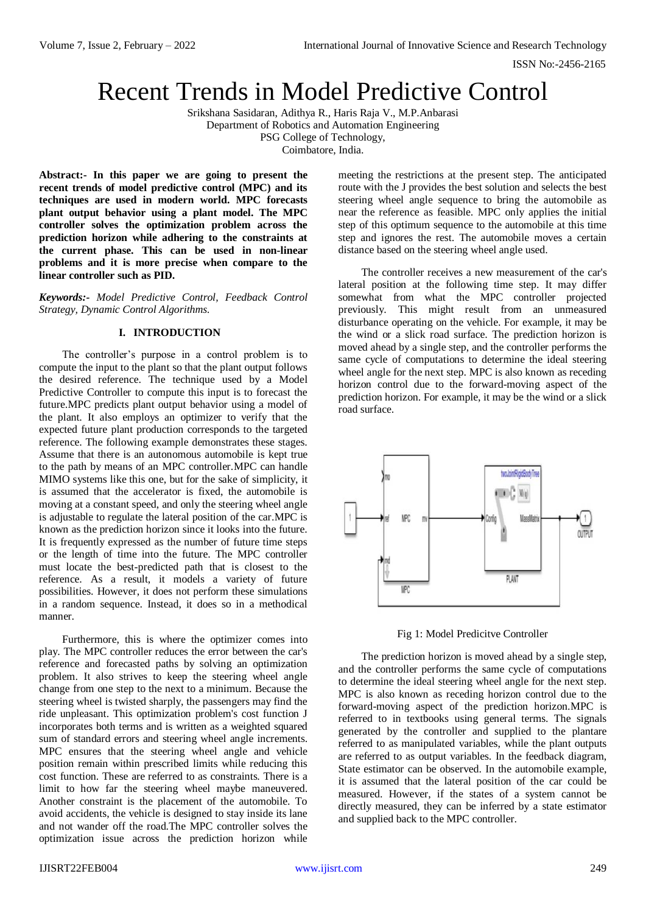# Recent Trends in Model Predictive Control

Srikshana Sasidaran, Adithya R., Haris Raja V., M.P.Anbarasi Department of Robotics and Automation Engineering PSG College of Technology, Coimbatore, India.

**Abstract:- In this paper we are going to present the recent trends of model predictive control (MPC) and its techniques are used in modern world. MPC forecasts plant output behavior using a plant model. The MPC controller solves the optimization problem across the prediction horizon while adhering to the constraints at the current phase. This can be used in non-linear problems and it is more precise when compare to the linear controller such as PID.**

*Keywords:- Model Predictive Control, Feedback Control Strategy, Dynamic Control Algorithms.*

## **I. INTRODUCTION**

The controller's purpose in a control problem is to compute the input to the plant so that the plant output follows the desired reference. The technique used by a Model Predictive Controller to compute this input is to forecast the future.MPC predicts plant output behavior using a model of the plant. It also employs an optimizer to verify that the expected future plant production corresponds to the targeted reference. The following example demonstrates these stages. Assume that there is an autonomous automobile is kept true to the path by means of an MPC controller.MPC can handle MIMO systems like this one, but for the sake of simplicity, it is assumed that the accelerator is fixed, the automobile is moving at a constant speed, and only the steering wheel angle is adjustable to regulate the lateral position of the car.MPC is known as the prediction horizon since it looks into the future. It is frequently expressed as the number of future time steps or the length of time into the future. The MPC controller must locate the best-predicted path that is closest to the reference. As a result, it models a variety of future possibilities. However, it does not perform these simulations in a random sequence. Instead, it does so in a methodical manner.

Furthermore, this is where the optimizer comes into play. The MPC controller reduces the error between the car's reference and forecasted paths by solving an optimization problem. It also strives to keep the steering wheel angle change from one step to the next to a minimum. Because the steering wheel is twisted sharply, the passengers may find the ride unpleasant. This optimization problem's cost function J incorporates both terms and is written as a weighted squared sum of standard errors and steering wheel angle increments. MPC ensures that the steering wheel angle and vehicle position remain within prescribed limits while reducing this cost function. These are referred to as constraints. There is a limit to how far the steering wheel maybe maneuvered. Another constraint is the placement of the automobile. To avoid accidents, the vehicle is designed to stay inside its lane and not wander off the road.The MPC controller solves the optimization issue across the prediction horizon while meeting the restrictions at the present step. The anticipated route with the J provides the best solution and selects the best steering wheel angle sequence to bring the automobile as near the reference as feasible. MPC only applies the initial step of this optimum sequence to the automobile at this time step and ignores the rest. The automobile moves a certain distance based on the steering wheel angle used.

The controller receives a new measurement of the car's lateral position at the following time step. It may differ somewhat from what the MPC controller projected previously. This might result from an unmeasured disturbance operating on the vehicle. For example, it may be the wind or a slick road surface. The prediction horizon is moved ahead by a single step, and the controller performs the same cycle of computations to determine the ideal steering wheel angle for the next step. MPC is also known as receding horizon control due to the forward-moving aspect of the prediction horizon. For example, it may be the wind or a slick road surface.



Fig 1: Model Predicitve Controller

The prediction horizon is moved ahead by a single step, and the controller performs the same cycle of computations to determine the ideal steering wheel angle for the next step. MPC is also known as receding horizon control due to the forward-moving aspect of the prediction horizon.MPC is referred to in textbooks using general terms. The signals generated by the controller and supplied to the plantare referred to as manipulated variables, while the plant outputs are referred to as output variables. In the feedback diagram, State estimator can be observed. In the automobile example, it is assumed that the lateral position of the car could be measured. However, if the states of a system cannot be directly measured, they can be inferred by a state estimator and supplied back to the MPC controller.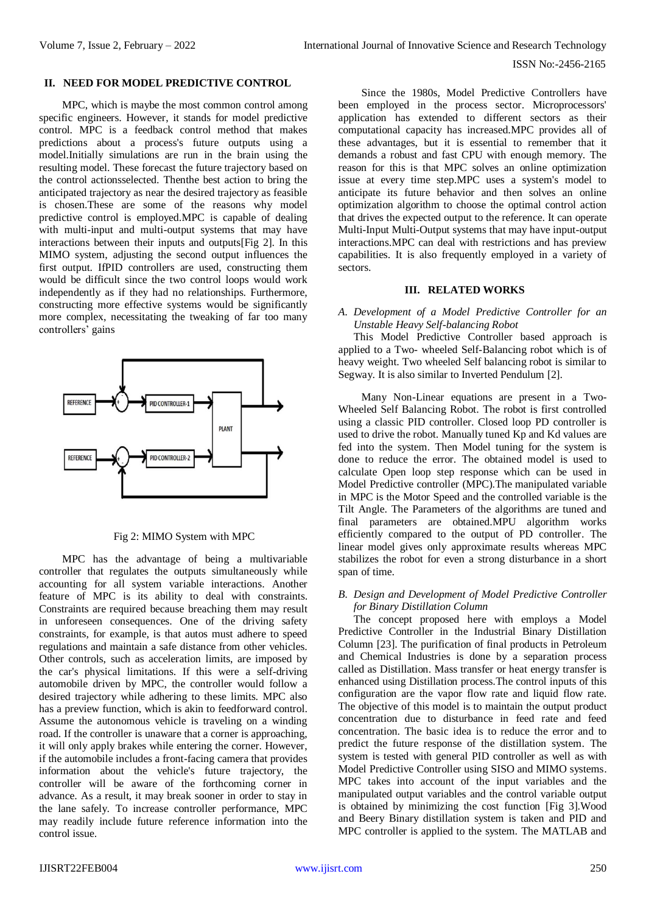#### **II. NEED FOR MODEL PREDICTIVE CONTROL**

MPC, which is maybe the most common control among specific engineers. However, it stands for model predictive control. MPC is a feedback control method that makes predictions about a process's future outputs using a model.Initially simulations are run in the brain using the resulting model. These forecast the future trajectory based on the control actionsselected. Thenthe best action to bring the anticipated trajectory as near the desired trajectory as feasible is chosen.These are some of the reasons why model predictive control is employed.MPC is capable of dealing with multi-input and multi-output systems that may have interactions between their inputs and outputs[Fig 2]. In this MIMO system, adjusting the second output influences the first output. IfPID controllers are used, constructing them would be difficult since the two control loops would work independently as if they had no relationships. Furthermore, constructing more effective systems would be significantly more complex, necessitating the tweaking of far too many controllers' gains



Fig 2: MIMO System with MPC

MPC has the advantage of being a multivariable controller that regulates the outputs simultaneously while accounting for all system variable interactions. Another feature of MPC is its ability to deal with constraints. Constraints are required because breaching them may result in unforeseen consequences. One of the driving safety constraints, for example, is that autos must adhere to speed regulations and maintain a safe distance from other vehicles. Other controls, such as acceleration limits, are imposed by the car's physical limitations. If this were a self-driving automobile driven by MPC, the controller would follow a desired trajectory while adhering to these limits. MPC also has a preview function, which is akin to feedforward control. Assume the autonomous vehicle is traveling on a winding road. If the controller is unaware that a corner is approaching, it will only apply brakes while entering the corner. However, if the automobile includes a front-facing camera that provides information about the vehicle's future trajectory, the controller will be aware of the forthcoming corner in advance. As a result, it may break sooner in order to stay in the lane safely. To increase controller performance, MPC may readily include future reference information into the control issue.

Since the 1980s, Model Predictive Controllers have been employed in the process sector. Microprocessors' application has extended to different sectors as their computational capacity has increased.MPC provides all of these advantages, but it is essential to remember that it demands a robust and fast CPU with enough memory. The reason for this is that MPC solves an online optimization issue at every time step.MPC uses a system's model to anticipate its future behavior and then solves an online optimization algorithm to choose the optimal control action that drives the expected output to the reference. It can operate Multi-Input Multi-Output systems that may have input-output interactions.MPC can deal with restrictions and has preview capabilities. It is also frequently employed in a variety of sectors.

# **III. RELATED WORKS**

*A. Development of a Model Predictive Controller for an Unstable Heavy Self-balancing Robot*

This Model Predictive Controller based approach is applied to a Two- wheeled Self-Balancing robot which is of heavy weight. Two wheeled Self balancing robot is similar to Segway. It is also similar to Inverted Pendulum [2].

Many Non-Linear equations are present in a Two-Wheeled Self Balancing Robot. The robot is first controlled using a classic PID controller. Closed loop PD controller is used to drive the robot. Manually tuned Kp and Kd values are fed into the system. Then Model tuning for the system is done to reduce the error. The obtained model is used to calculate Open loop step response which can be used in Model Predictive controller (MPC).The manipulated variable in MPC is the Motor Speed and the controlled variable is the Tilt Angle. The Parameters of the algorithms are tuned and final parameters are obtained.MPU algorithm works efficiently compared to the output of PD controller. The linear model gives only approximate results whereas MPC stabilizes the robot for even a strong disturbance in a short span of time.

*B. Design and Development of Model Predictive Controller for Binary Distillation Column*

The concept proposed here with employs a Model Predictive Controller in the Industrial Binary Distillation Column [23]. The purification of final products in Petroleum and Chemical Industries is done by a separation process called as Distillation. Mass transfer or heat energy transfer is enhanced using Distillation process.The control inputs of this configuration are the vapor flow rate and liquid flow rate. The objective of this model is to maintain the output product concentration due to disturbance in feed rate and feed concentration. The basic idea is to reduce the error and to predict the future response of the distillation system. The system is tested with general PID controller as well as with Model Predictive Controller using SISO and MIMO systems. MPC takes into account of the input variables and the manipulated output variables and the control variable output is obtained by minimizing the cost function [Fig 3].Wood and Beery Binary distillation system is taken and PID and MPC controller is applied to the system. The MATLAB and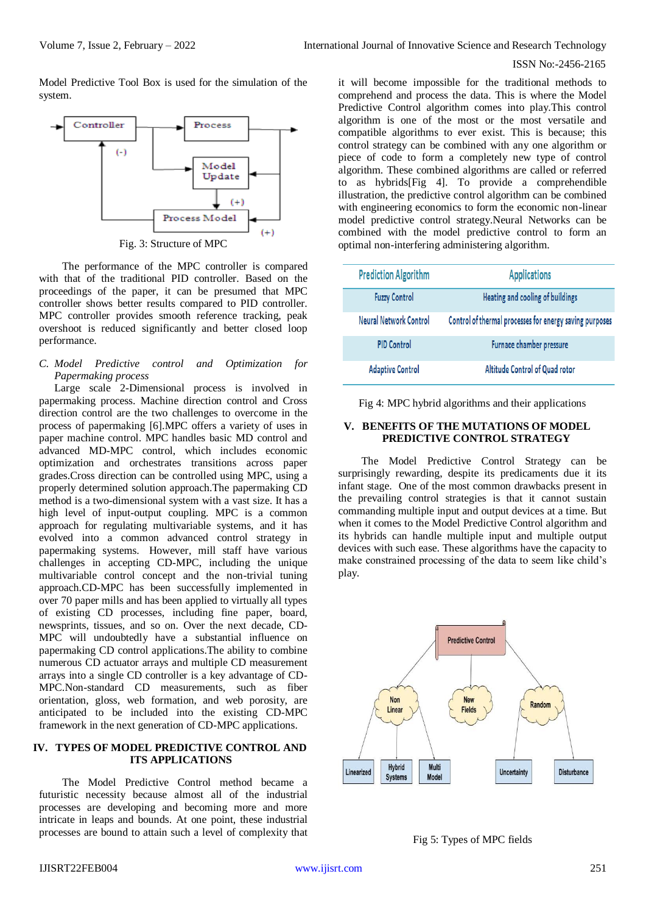Model Predictive Tool Box is used for the simulation of the system.



Fig. 3: Structure of MPC

The performance of the MPC controller is compared with that of the traditional PID controller. Based on the proceedings of the paper, it can be presumed that MPC controller shows better results compared to PID controller. MPC controller provides smooth reference tracking, peak overshoot is reduced significantly and better closed loop performance.

#### *C. Model Predictive control and Optimization for Papermaking process*

Large scale 2-Dimensional process is involved in papermaking process. Machine direction control and Cross direction control are the two challenges to overcome in the process of papermaking [6].MPC offers a variety of uses in paper machine control. MPC handles basic MD control and advanced MD-MPC control, which includes economic optimization and orchestrates transitions across paper grades.Cross direction can be controlled using MPC, using a properly determined solution approach.The papermaking CD method is a two-dimensional system with a vast size. It has a high level of input-output coupling. MPC is a common approach for regulating multivariable systems, and it has evolved into a common advanced control strategy in papermaking systems. However, mill staff have various challenges in accepting CD-MPC, including the unique multivariable control concept and the non-trivial tuning approach.CD-MPC has been successfully implemented in over 70 paper mills and has been applied to virtually all types of existing CD processes, including fine paper, board, newsprints, tissues, and so on. Over the next decade, CD-MPC will undoubtedly have a substantial influence on papermaking CD control applications.The ability to combine numerous CD actuator arrays and multiple CD measurement arrays into a single CD controller is a key advantage of CD-MPC.Non-standard CD measurements, such as fiber orientation, gloss, web formation, and web porosity, are anticipated to be included into the existing CD-MPC framework in the next generation of CD-MPC applications.

## **IV. TYPES OF MODEL PREDICTIVE CONTROL AND ITS APPLICATIONS**

The Model Predictive Control method became a futuristic necessity because almost all of the industrial processes are developing and becoming more and more intricate in leaps and bounds. At one point, these industrial processes are bound to attain such a level of complexity that it will become impossible for the traditional methods to comprehend and process the data. This is where the Model Predictive Control algorithm comes into play.This control algorithm is one of the most or the most versatile and compatible algorithms to ever exist. This is because; this control strategy can be combined with any one algorithm or piece of code to form a completely new type of control algorithm. These combined algorithms are called or referred to as hybrids[Fig 4]. To provide a comprehendible illustration, the predictive control algorithm can be combined with engineering economics to form the economic non-linear model predictive control strategy.Neural Networks can be combined with the model predictive control to form an optimal non-interfering administering algorithm.

| <b>Prediction Algorithm</b> | <b>Applications</b>                                     |
|-----------------------------|---------------------------------------------------------|
| <b>Fuzzy Control</b>        | Heating and cooling of buildings                        |
| Neural Network Control      | Control of thermal processes for energy saving purposes |
| <b>PID Control</b>          | Furnace chamber pressure                                |
| <b>Adaptive Control</b>     | Altitude Control of Quad rotor                          |

Fig 4: MPC hybrid algorithms and their applications

### **V. BENEFITS OF THE MUTATIONS OF MODEL PREDICTIVE CONTROL STRATEGY**

The Model Predictive Control Strategy can be surprisingly rewarding, despite its predicaments due it its infant stage. One of the most common drawbacks present in the prevailing control strategies is that it cannot sustain commanding multiple input and output devices at a time. But when it comes to the Model Predictive Control algorithm and its hybrids can handle multiple input and multiple output devices with such ease. These algorithms have the capacity to make constrained processing of the data to seem like child's play.



Fig 5: Types of MPC fields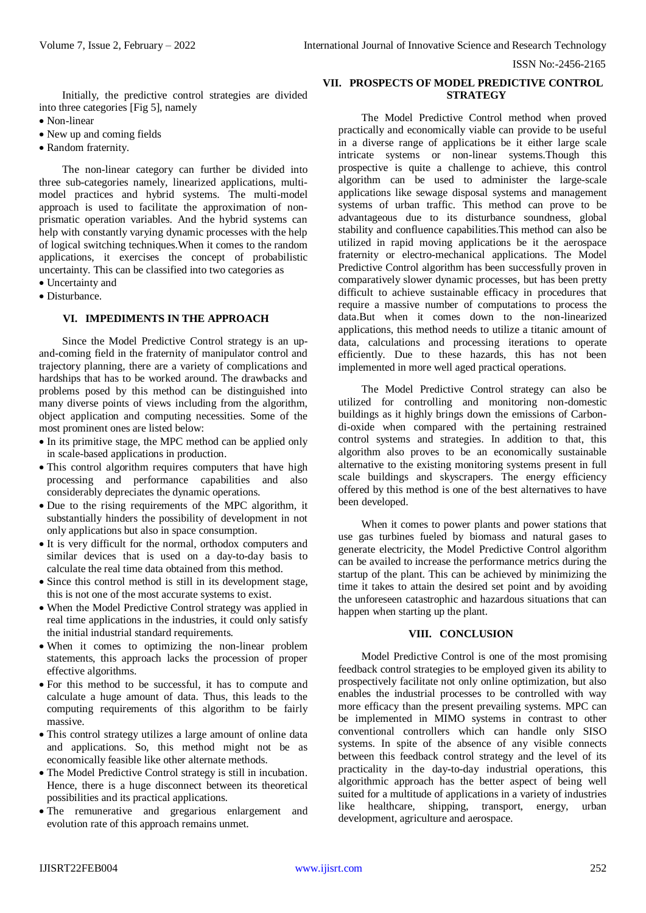Initially, the predictive control strategies are divided into three categories [Fig 5], namely

- Non-linear
- New up and coming fields
- Random fraternity.

The non-linear category can further be divided into three sub-categories namely, linearized applications, multimodel practices and hybrid systems. The multi-model approach is used to facilitate the approximation of nonprismatic operation variables. And the hybrid systems can help with constantly varying dynamic processes with the help of logical switching techniques.When it comes to the random applications, it exercises the concept of probabilistic uncertainty. This can be classified into two categories as

- Uncertainty and
- Disturbance.

## **VI. IMPEDIMENTS IN THE APPROACH**

Since the Model Predictive Control strategy is an upand-coming field in the fraternity of manipulator control and trajectory planning, there are a variety of complications and hardships that has to be worked around. The drawbacks and problems posed by this method can be distinguished into many diverse points of views including from the algorithm, object application and computing necessities. Some of the most prominent ones are listed below:

- In its primitive stage, the MPC method can be applied only in scale-based applications in production.
- This control algorithm requires computers that have high processing and performance capabilities and also considerably depreciates the dynamic operations.
- Due to the rising requirements of the MPC algorithm, it substantially hinders the possibility of development in not only applications but also in space consumption.
- It is very difficult for the normal, orthodox computers and similar devices that is used on a day-to-day basis to calculate the real time data obtained from this method.
- Since this control method is still in its development stage, this is not one of the most accurate systems to exist.
- When the Model Predictive Control strategy was applied in real time applications in the industries, it could only satisfy the initial industrial standard requirements.
- When it comes to optimizing the non-linear problem statements, this approach lacks the procession of proper effective algorithms.
- For this method to be successful, it has to compute and calculate a huge amount of data. Thus, this leads to the computing requirements of this algorithm to be fairly massive.
- This control strategy utilizes a large amount of online data and applications. So, this method might not be as economically feasible like other alternate methods.
- The Model Predictive Control strategy is still in incubation. Hence, there is a huge disconnect between its theoretical possibilities and its practical applications.
- The remunerative and gregarious enlargement and evolution rate of this approach remains unmet.

## **VII. PROSPECTS OF MODEL PREDICTIVE CONTROL STRATEGY**

The Model Predictive Control method when proved practically and economically viable can provide to be useful in a diverse range of applications be it either large scale intricate systems or non-linear systems.Though this prospective is quite a challenge to achieve, this control algorithm can be used to administer the large-scale applications like sewage disposal systems and management systems of urban traffic. This method can prove to be advantageous due to its disturbance soundness, global stability and confluence capabilities.This method can also be utilized in rapid moving applications be it the aerospace fraternity or electro-mechanical applications. The Model Predictive Control algorithm has been successfully proven in comparatively slower dynamic processes, but has been pretty difficult to achieve sustainable efficacy in procedures that require a massive number of computations to process the data.But when it comes down to the non-linearized applications, this method needs to utilize a titanic amount of data, calculations and processing iterations to operate efficiently. Due to these hazards, this has not been implemented in more well aged practical operations.

The Model Predictive Control strategy can also be utilized for controlling and monitoring non-domestic buildings as it highly brings down the emissions of Carbondi-oxide when compared with the pertaining restrained control systems and strategies. In addition to that, this algorithm also proves to be an economically sustainable alternative to the existing monitoring systems present in full scale buildings and skyscrapers. The energy efficiency offered by this method is one of the best alternatives to have been developed.

When it comes to power plants and power stations that use gas turbines fueled by biomass and natural gases to generate electricity, the Model Predictive Control algorithm can be availed to increase the performance metrics during the startup of the plant. This can be achieved by minimizing the time it takes to attain the desired set point and by avoiding the unforeseen catastrophic and hazardous situations that can happen when starting up the plant.

# **VIII. CONCLUSION**

Model Predictive Control is one of the most promising feedback control strategies to be employed given its ability to prospectively facilitate not only online optimization, but also enables the industrial processes to be controlled with way more efficacy than the present prevailing systems. MPC can be implemented in MIMO systems in contrast to other conventional controllers which can handle only SISO systems. In spite of the absence of any visible connects between this feedback control strategy and the level of its practicality in the day-to-day industrial operations, this algorithmic approach has the better aspect of being well suited for a multitude of applications in a variety of industries like healthcare, shipping, transport, energy, urban development, agriculture and aerospace.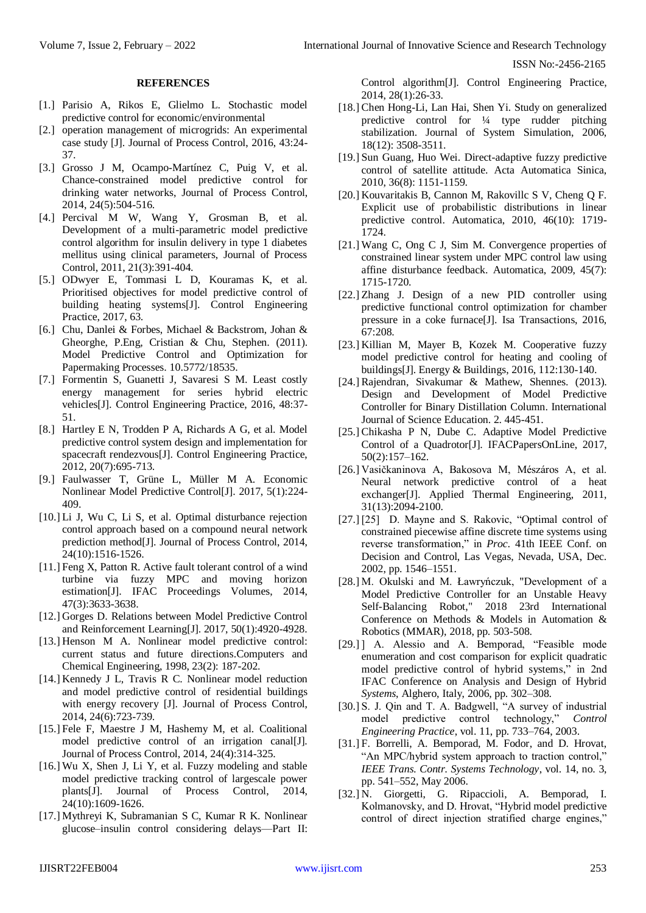#### **REFERENCES**

- [1.] Parisio A, Rikos E, Glielmo L. Stochastic model predictive control for economic/environmental
- [2.] operation management of microgrids: An experimental case study [J]. Journal of Process Control, 2016, 43:24- 37.
- [3.] Grosso J M, Ocampo-Martínez C, Puig V, et al. Chance-constrained model predictive control for drinking water networks, Journal of Process Control, 2014, 24(5):504-516.
- [4.] Percival M W, Wang Y, Grosman B, et al. Development of a multi-parametric model predictive control algorithm for insulin delivery in type 1 diabetes mellitus using clinical parameters, Journal of Process Control, 2011, 21(3):391-404.
- [5.] ODwyer E, Tommasi L D, Kouramas K, et al. Prioritised objectives for model predictive control of building heating systems[J]. Control Engineering Practice, 2017, 63.
- [6.] Chu, Danlei & Forbes, Michael & Backstrom, Johan & Gheorghe, P.Eng, Cristian & Chu, Stephen. (2011). Model Predictive Control and Optimization for Papermaking Processes. 10.5772/18535.
- [7.] Formentin S, Guanetti J, Savaresi S M. Least costly energy management for series hybrid electric vehicles[J]. Control Engineering Practice, 2016, 48:37- 51.
- [8.] Hartley E N, Trodden P A, Richards A G, et al. Model predictive control system design and implementation for spacecraft rendezvous[J]. Control Engineering Practice, 2012, 20(7):695-713.
- [9.] Faulwasser T, Grüne L, Müller M A. Economic Nonlinear Model Predictive Control[J]. 2017, 5(1):224- 409.
- [10.] Li J, Wu C, Li S, et al. Optimal disturbance rejection control approach based on a compound neural network prediction method[J]. Journal of Process Control, 2014, 24(10):1516-1526.
- [11.] Feng X, Patton R. Active fault tolerant control of a wind turbine via fuzzy MPC and moving horizon estimation[J]. IFAC Proceedings Volumes, 2014, 47(3):3633-3638.
- [12.] Gorges D. Relations between Model Predictive Control and Reinforcement Learning[J]. 2017, 50(1):4920-4928.
- [13.] Henson M A. Nonlinear model predictive control: current status and future directions.Computers and Chemical Engineering, 1998, 23(2): 187-202.
- [14.] Kennedy J L, Travis R C. Nonlinear model reduction and model predictive control of residential buildings with energy recovery [J]. Journal of Process Control, 2014, 24(6):723-739.
- [15.] Fele F, Maestre J M, Hashemy M, et al. Coalitional model predictive control of an irrigation canal[J]. Journal of Process Control, 2014, 24(4):314-325.
- [16.] Wu X, Shen J, Li Y, et al. Fuzzy modeling and stable model predictive tracking control of largescale power plants[J]. Journal of Process Control, 2014, 24(10):1609-1626.
- [17.] Mythreyi K, Subramanian S C, Kumar R K. Nonlinear glucose–insulin control considering delays—Part II:

Control algorithm[J]. Control Engineering Practice, 2014, 28(1):26-33.

- [18.] Chen Hong-Li, Lan Hai, Shen Yi. Study on generalized predictive control for ¼ type rudder pitching stabilization. Journal of System Simulation, 2006, 18(12): 3508-3511.
- [19.] Sun Guang, Huo Wei. Direct-adaptive fuzzy predictive control of satellite attitude. Acta Automatica Sinica, 2010, 36(8): 1151-1159.
- [20.] Kouvaritakis B, Cannon M, Rakovillc S V, Cheng Q F. Explicit use of probabilistic distributions in linear predictive control. Automatica, 2010, 46(10): 1719- 1724.
- [21.] Wang C, Ong C J, Sim M. Convergence properties of constrained linear system under MPC control law using affine disturbance feedback. Automatica, 2009, 45(7): 1715-1720.
- [22.] Zhang J. Design of a new PID controller using predictive functional control optimization for chamber pressure in a coke furnace[J]. Isa Transactions, 2016,  $67:208$
- [23.] Killian M, Mayer B, Kozek M. Cooperative fuzzy model predictive control for heating and cooling of buildings[J]. Energy & Buildings, 2016, 112:130-140.
- [24.] Rajendran, Sivakumar & Mathew, Shennes. (2013). Design and Development of Model Predictive Controller for Binary Distillation Column. International Journal of Science Education. 2. 445-451.
- [25.] Chikasha P N, Dube C. Adaptive Model Predictive Control of a Quadrotor[J]. IFACPapersOnLine, 2017, 50(2):157–162.
- [26.] Vasičkaninova A, Bakosova M, Mészáros A, et al. Neural network predictive control of a heat exchanger[J]. Applied Thermal Engineering, 2011, 31(13):2094-2100.
- [27.] [25] D. Mayne and S. Rakovic, "Optimal control of constrained piecewise affine discrete time systems using reverse transformation," in *Proc.* 41th IEEE Conf. on Decision and Control, Las Vegas, Nevada, USA, Dec. 2002, pp. 1546–1551.
- [28.] M. Okulski and M. Ławryńczuk, "Development of a Model Predictive Controller for an Unstable Heavy Self-Balancing Robot," 2018 23rd International Conference on Methods & Models in Automation & Robotics (MMAR), 2018, pp. 503-508.
- [29.] ] A. Alessio and A. Bemporad, "Feasible mode enumeration and cost comparison for explicit quadratic model predictive control of hybrid systems," in 2nd IFAC Conference on Analysis and Design of Hybrid *Systems*, Alghero, Italy, 2006, pp. 302–308.
- [30.] S. J. Qin and T. A. Badgwell, "A survey of industrial model predictive control technology," *Control Engineering Practice*, vol. 11, pp. 733–764, 2003.
- [31.] F. Borrelli, A. Bemporad, M. Fodor, and D. Hrovat, "An MPC/hybrid system approach to traction control," *IEEE Trans. Contr. Systems Technology*, vol. 14, no. 3, pp. 541–552, May 2006.
- [32.] N. Giorgetti, G. Ripaccioli, A. Bemporad, I. Kolmanovsky, and D. Hrovat, "Hybrid model predictive control of direct injection stratified charge engines,"